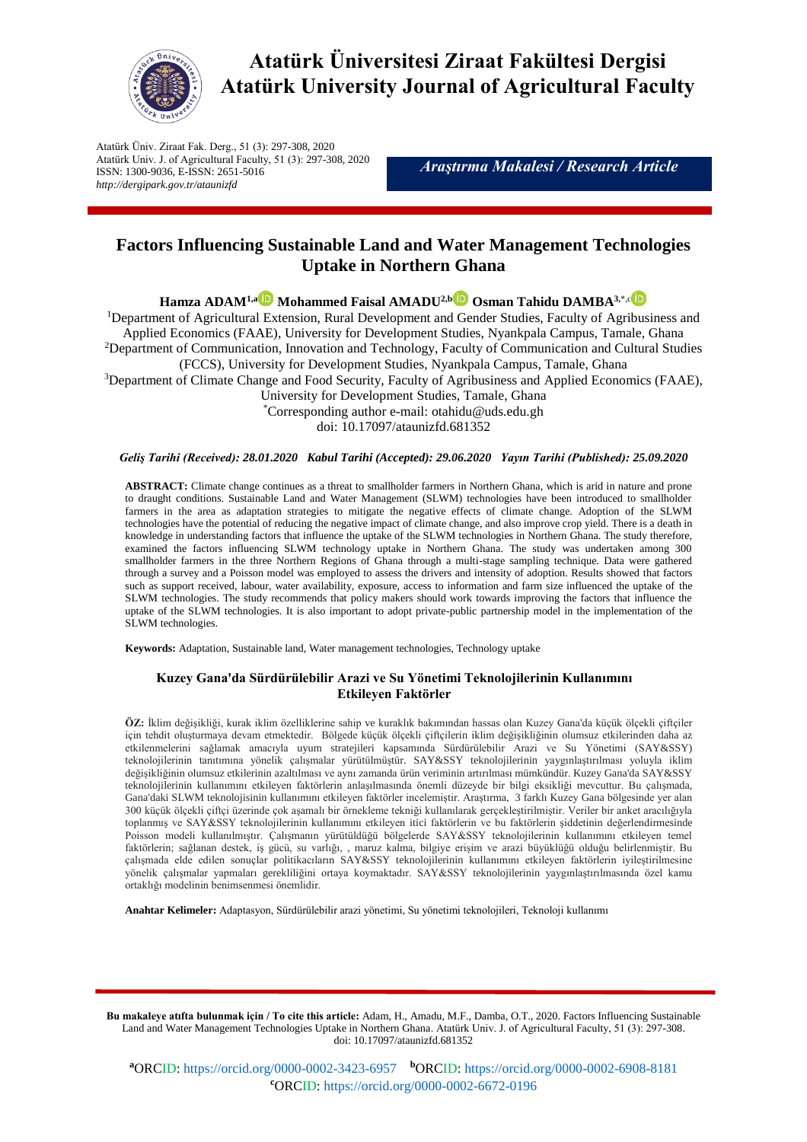

**Atatürk Üniversitesi Ziraat Fakültesi Dergisi Atatürk University Journal of Agricultural Faculty**

Atatürk Üniv. Ziraat Fak. Derg., 51 (3): 297-308, 2020 Atatürk Univ. J. of Agricultural Faculty, 51 (3): 297-308, 2020 ISSN: 1300-9036, E-ISSN: 2651-5016 *http://dergipark.gov.tr/ataunizfd*

*Araştırma Makalesi / Research Article*

# **Factors Influencing Sustainable Land and Water Management Technologies Uptake in Northern Ghana**

**H[a](https://orcid.org/0000-0002-3423-6957)mza ADAM<sup>1,a</sup> Mohammed Faisal AMADU<sup>2,b</sup> Osman Tahidu DAMBA<sup>3,\*,[c](https://orcid.org/0000-0002-6672-0196)</sup>** 

<sup>1</sup>Department of Agricultural Extension, Rural Development and Gender Studies, Faculty of Agribusiness and Applied Economics (FAAE), University for Development Studies, Nyankpala Campus, Tamale, Ghana <sup>2</sup>Department of Communication, Innovation and Technology, Faculty of Communication and Cultural Studies (FCCS), University for Development Studies, Nyankpala Campus, Tamale, Ghana <sup>3</sup>Department of Climate Change and Food Security, Faculty of Agribusiness and Applied Economics (FAAE), University for Development Studies, Tamale, Ghana \*Corresponding author e-mail: [otahidu@uds.edu.gh](mailto:otahidu@uds.edu.gh) doi: 10.17097/ataunizfd.681352

## *Geliş Tarihi (Received): 28.01.2020 Kabul Tarihi (Accepted): 29.06.2020 Yayın Tarihi (Published): 25.09.2020*

**ABSTRACT:** Climate change continues as a threat to smallholder farmers in Northern Ghana, which is arid in nature and prone to draught conditions. Sustainable Land and Water Management (SLWM) technologies have been introduced to smallholder farmers in the area as adaptation strategies to mitigate the negative effects of climate change. Adoption of the SLWM technologies have the potential of reducing the negative impact of climate change, and also improve crop yield. There is a death in knowledge in understanding factors that influence the uptake of the SLWM technologies in Northern Ghana. The study therefore, examined the factors influencing SLWM technology uptake in Northern Ghana. The study was undertaken among 300 smallholder farmers in the three Northern Regions of Ghana through a multi-stage sampling technique. Data were gathered through a survey and a Poisson model was employed to assess the drivers and intensity of adoption. Results showed that factors such as support received, labour, water availability, exposure, access to information and farm size influenced the uptake of the SLWM technologies. The study recommends that policy makers should work towards improving the factors that influence the uptake of the SLWM technologies. It is also important to adopt private-public partnership model in the implementation of the SLWM technologies.

**Keywords:** Adaptation, Sustainable land, Water management technologies, Technology uptake

# **Kuzey Gana'da Sürdürülebilir Arazi ve Su Yönetimi Teknolojilerinin Kullanımını Etkileyen Faktörler**

**ÖZ:** İklim değişikliği, kurak iklim özelliklerine sahip ve kuraklık bakımından hassas olan Kuzey Gana'da küçük ölçekli çiftçiler için tehdit oluşturmaya devam etmektedir. Bölgede küçük ölçekli çiftçilerin iklim değişikliğinin olumsuz etkilerinden daha az etkilenmelerini sağlamak amacıyla uyum stratejileri kapsamında Sürdürülebilir Arazi ve Su Yönetimi (SAY&SSY) teknolojilerinin tanıtımına yönelik çalışmalar yürütülmüştür. SAY&SSY teknolojilerinin yaygınlaştırılması yoluyla iklim değişikliğinin olumsuz etkilerinin azaltılması ve aynı zamanda ürün veriminin artırılması mümkündür. Kuzey Gana'da SAY&SSY teknolojilerinin kullanımını etkileyen faktörlerin anlaşılmasında önemli düzeyde bir bilgi eksikliği mevcuttur. Bu çalışmada, Gana'daki SLWM teknolojisinin kullanımını etkileyen faktörler incelemiştir. Araştırma, 3 farklı Kuzey Gana bölgesinde yer alan 300 küçük ölçekli çiftçi üzerinde çok aşamalı bir örnekleme tekniği kullanılarak gerçekleştirilmiştir. Veriler bir anket aracılığıyla toplanmış ve SAY&SSY teknolojilerinin kullanımını etkileyen itici faktörlerin ve bu faktörlerin şiddetinin değerlendirmesinde Poisson modeli kullanılmıştır. Çalışmanın yürütüldüğü bölgelerde SAY&SSY teknolojilerinin kullanımını etkileyen temel faktörlerin; sağlanan destek, iş gücü, su varlığı, , maruz kalma, bilgiye erişim ve arazi büyüklüğü olduğu belirlenmiştir. Bu çalışmada elde edilen sonuçlar politikacıların SAY&SSY teknolojilerinin kullanımını etkileyen faktörlerin iyileştirilmesine yönelik çalışmalar yapmaları gerekliliğini ortaya koymaktadır. SAY&SSY teknolojilerinin yaygınlaştırılmasında özel kamu ortaklığı modelinin benimsenmesi önemlidir.

**Anahtar Kelimeler:** Adaptasyon, Sürdürülebilir arazi yönetimi, Su yönetimi teknolojileri, Teknoloji kullanımı

**Bu makaleye atıfta bulunmak için / To cite this article:** Adam, H., Amadu, M.F., Damba, O.T., 2020. Factors Influencing Sustainable Land and Water Management Technologies Uptake in Northern Ghana. Atatürk Univ. J. of Agricultural Faculty, 51 (3): 297-308. doi: 10.17097/ataunizfd.681352

**<sup>a</sup>**ORCID:<https://orcid.org/0000-0002-3423-6957> **<sup>b</sup>**ORCID[: https://orcid.org/0000-0002-6908-8181](https://orcid.org/0000-0002-6908-8181) **<sup>c</sup>**ORCID:<https://orcid.org/0000-0002-6672-0196>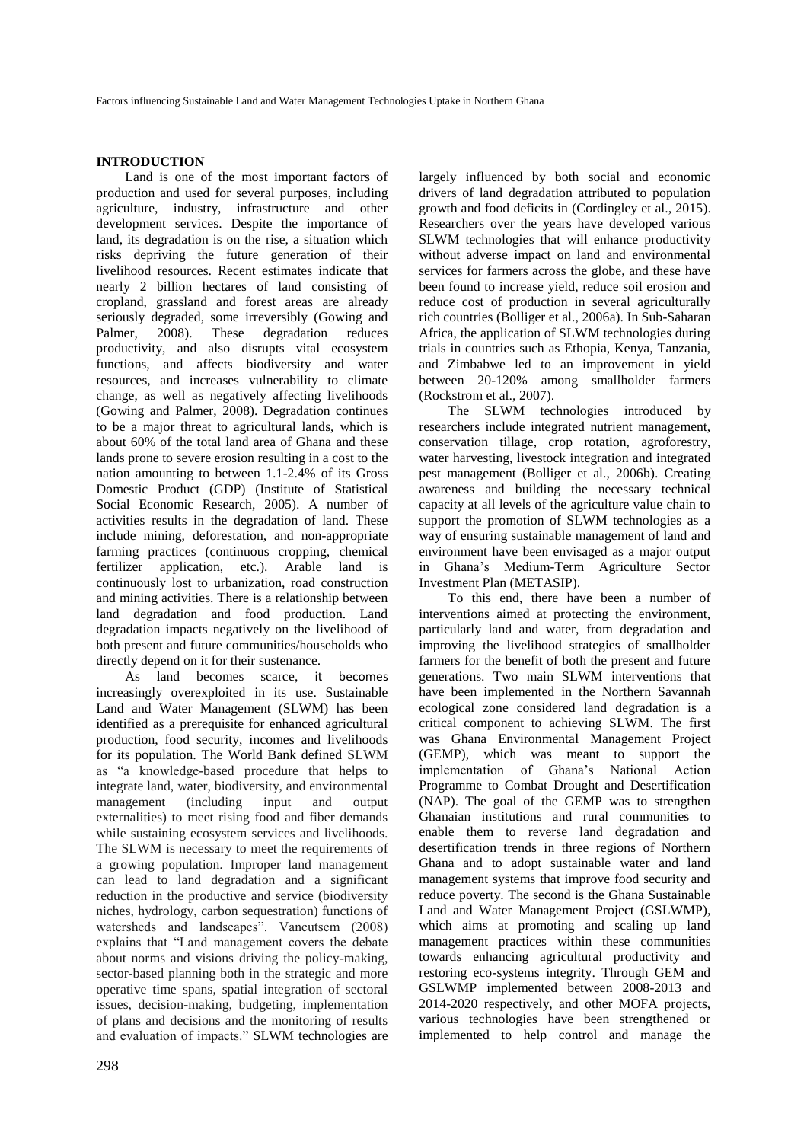# **INTRODUCTION**

Land is one of the most important factors of production and used for several purposes, including agriculture, industry, infrastructure and other development services. Despite the importance of land, its degradation is on the rise, a situation which risks depriving the future generation of their livelihood resources. Recent estimates indicate that nearly 2 billion hectares of land consisting of cropland, grassland and forest areas are already seriously degraded, some irreversibly (Gowing and Palmer, 2008). These degradation reduces productivity, and also disrupts vital ecosystem functions, and affects biodiversity and water resources, and increases vulnerability to climate change, as well as negatively affecting livelihoods (Gowing and Palmer, 2008). Degradation continues to be a major threat to agricultural lands, which is about 60% of the total land area of Ghana and these lands prone to severe erosion resulting in a cost to the nation amounting to between 1.1-2.4% of its Gross Domestic Product (GDP) (Institute of Statistical Social Economic Research, 2005). A number of activities results in the degradation of land. These include mining, deforestation, and non-appropriate farming practices (continuous cropping, chemical fertilizer application, etc.). Arable land is continuously lost to urbanization, road construction and mining activities. There is a relationship between land degradation and food production. Land degradation impacts negatively on the livelihood of both present and future communities/households who directly depend on it for their sustenance.

As land becomes scarce, it becomes increasingly overexploited in its use. Sustainable Land and Water Management (SLWM) has been identified as a prerequisite for enhanced agricultural production, food security, incomes and livelihoods for its population. The World Bank defined SLWM as "a knowledge-based procedure that helps to integrate land, water, biodiversity, and environmental management (including input and output externalities) to meet rising food and fiber demands while sustaining ecosystem services and livelihoods. The SLWM is necessary to meet the requirements of a growing population. Improper land management can lead to land degradation and a significant reduction in the productive and service (biodiversity niches, hydrology, carbon sequestration) functions of watersheds and landscapes". Vancutsem (2008) explains that "Land management covers the debate about norms and visions driving the policy-making, sector-based planning both in the strategic and more operative time spans, spatial integration of sectoral issues, decision-making, budgeting, implementation of plans and decisions and the monitoring of results and evaluation of impacts." SLWM technologies are

largely influenced by both social and economic drivers of land degradation attributed to population growth and food deficits in (Cordingley et al., 2015). Researchers over the years have developed various SLWM technologies that will enhance productivity without adverse impact on land and environmental services for farmers across the globe, and these have been found to increase yield, reduce soil erosion and reduce cost of production in several agriculturally rich countries (Bolliger et al., 2006a). In Sub-Saharan Africa, the application of SLWM technologies during trials in countries such as Ethopia, Kenya, Tanzania, and Zimbabwe led to an improvement in yield between 20-120% among smallholder farmers (Rockstrom et al., 2007).

The SLWM technologies introduced by researchers include integrated nutrient management, conservation tillage, crop rotation, agroforestry, water harvesting, livestock integration and integrated pest management (Bolliger et al., 2006b). Creating awareness and building the necessary technical capacity at all levels of the agriculture value chain to support the promotion of SLWM technologies as a way of ensuring sustainable management of land and environment have been envisaged as a major output in Ghana's Medium-Term Agriculture Sector Investment Plan (METASIP).

To this end, there have been a number of interventions aimed at protecting the environment, particularly land and water, from degradation and improving the livelihood strategies of smallholder farmers for the benefit of both the present and future generations. Two main SLWM interventions that have been implemented in the Northern Savannah ecological zone considered land degradation is a critical component to achieving SLWM. The first was Ghana Environmental Management Project (GEMP), which was meant to support the implementation of Ghana's National Action Programme to Combat Drought and Desertification (NAP). The goal of the GEMP was to strengthen Ghanaian institutions and rural communities to enable them to reverse land degradation and desertification trends in three regions of Northern Ghana and to adopt sustainable water and land management systems that improve food security and reduce poverty. The second is the Ghana Sustainable Land and Water Management Project (GSLWMP), which aims at promoting and scaling up land management practices within these communities towards enhancing agricultural productivity and restoring eco-systems integrity. Through GEM and GSLWMP implemented between 2008-2013 and 2014-2020 respectively, and other MOFA projects, various technologies have been strengthened or implemented to help control and manage the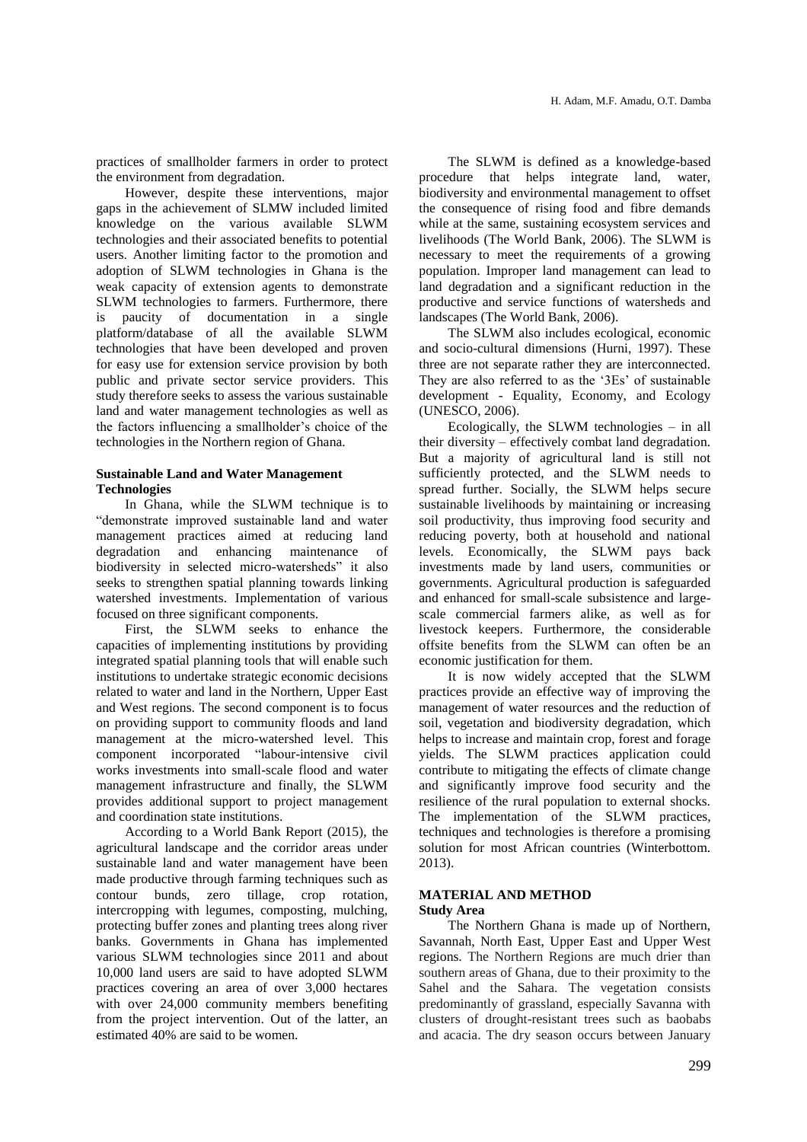practices of smallholder farmers in order to protect the environment from degradation.

However, despite these interventions, major gaps in the achievement of SLMW included limited knowledge on the various available SLWM technologies and their associated benefits to potential users. Another limiting factor to the promotion and adoption of SLWM technologies in Ghana is the weak capacity of extension agents to demonstrate SLWM technologies to farmers. Furthermore, there is paucity of documentation in a single platform/database of all the available SLWM technologies that have been developed and proven for easy use for extension service provision by both public and private sector service providers. This study therefore seeks to assess the various sustainable land and water management technologies as well as the factors influencing a smallholder's choice of the technologies in the Northern region of Ghana.

# **Sustainable Land and Water Management Technologies**

In Ghana, while the SLWM technique is to "demonstrate improved sustainable land and water management practices aimed at reducing land degradation and enhancing maintenance of biodiversity in selected micro-watersheds" it also seeks to strengthen spatial planning towards linking watershed investments. Implementation of various focused on three significant components.

First, the SLWM seeks to enhance the capacities of implementing institutions by providing integrated spatial planning tools that will enable such institutions to undertake strategic economic decisions related to water and land in the Northern, Upper East and West regions. The second component is to focus on providing support to community floods and land management at the micro-watershed level. This component incorporated "labour-intensive civil works investments into small-scale flood and water management infrastructure and finally, the SLWM provides additional support to project management and coordination state institutions.

According to a World Bank Report (2015), the agricultural landscape and the corridor areas under sustainable land and water management have been made productive through farming techniques such as contour bunds, zero tillage, crop rotation, intercropping with legumes, composting, mulching, protecting buffer zones and planting trees along river banks. Governments in Ghana has implemented various SLWM technologies since 2011 and about 10,000 land users are said to have adopted SLWM practices covering an area of over 3,000 hectares with over 24,000 community members benefiting from the project intervention. Out of the latter, an estimated 40% are said to be women.

The SLWM is defined as a knowledge-based procedure that helps integrate land, water, biodiversity and environmental management to offset the consequence of rising food and fibre demands while at the same, sustaining ecosystem services and livelihoods (The World Bank, 2006). The SLWM is necessary to meet the requirements of a growing population. Improper land management can lead to land degradation and a significant reduction in the productive and service functions of watersheds and landscapes (The World Bank, 2006).

The SLWM also includes ecological, economic and socio-cultural dimensions (Hurni, 1997). These three are not separate rather they are interconnected. They are also referred to as the '3Es' of sustainable development - Equality, Economy, and Ecology (UNESCO, 2006).

Ecologically, the SLWM technologies – in all their diversity – effectively combat land degradation. But a majority of agricultural land is still not sufficiently protected, and the SLWM needs to spread further. Socially, the SLWM helps secure sustainable livelihoods by maintaining or increasing soil productivity, thus improving food security and reducing poverty, both at household and national levels. Economically, the SLWM pays back investments made by land users, communities or governments. Agricultural production is safeguarded and enhanced for small-scale subsistence and largescale commercial farmers alike, as well as for livestock keepers. Furthermore, the considerable offsite benefits from the SLWM can often be an economic justification for them.

It is now widely accepted that the SLWM practices provide an effective way of improving the management of water resources and the reduction of soil, vegetation and biodiversity degradation, which helps to increase and maintain crop, forest and forage yields. The SLWM practices application could contribute to mitigating the effects of climate change and significantly improve food security and the resilience of the rural population to external shocks. The implementation of the SLWM practices, techniques and technologies is therefore a promising solution for most African countries (Winterbottom. 2013).

## **MATERIAL AND METHOD Study Area**

The Northern Ghana is made up of Northern, Savannah, North East, Upper East and Upper West regions. The Northern Regions are much drier than southern areas of Ghana, due to their proximity to the Sahel and the Sahara. The vegetation consists predominantly of grassland, especially Savanna with clusters of drought-resistant trees such as baobabs and acacia. The dry season occurs between January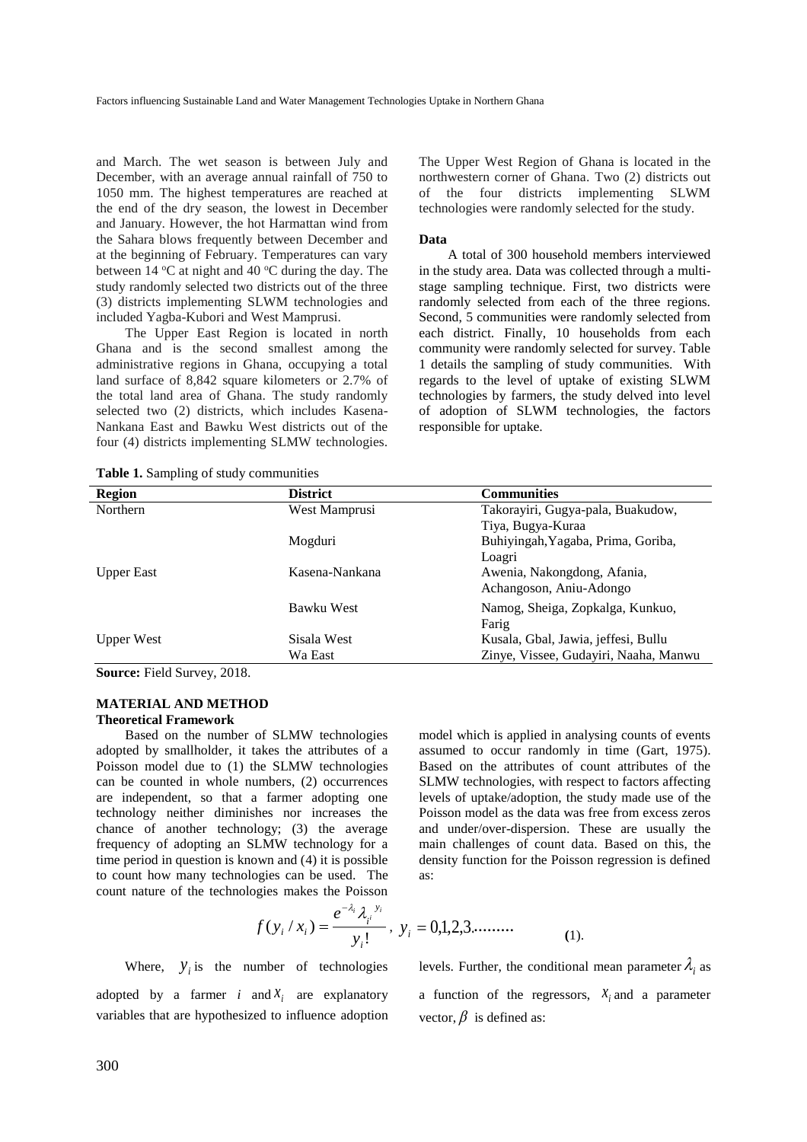and March. The wet season is between July and December, with an average annual rainfall of 750 to 1050 mm. The highest temperatures are reached at the end of the dry season, the lowest in December and January. However, the hot Harmattan wind from the Sahara blows frequently between December and at the beginning of February. Temperatures can vary between  $14 \text{ °C}$  at night and  $40 \text{ °C}$  during the day. The study randomly selected two districts out of the three (3) districts implementing SLWM technologies and included Yagba-Kubori and West Mamprusi.

The Upper East Region is located in north Ghana and is the second smallest among the administrative regions in Ghana, occupying a total land surface of 8,842 square kilometers or 2.7% of the total land area of Ghana. The study randomly selected two (2) districts, which includes Kasena-Nankana East and Bawku West districts out of the four (4) districts implementing SLMW technologies.

**Table 1.** Sampling of study communities

The Upper West Region of Ghana is located in the northwestern corner of Ghana. Two (2) districts out of the four districts implementing SLWM technologies were randomly selected for the study.

#### **Data**

A total of 300 household members interviewed in the study area. Data was collected through a multistage sampling technique. First, two districts were randomly selected from each of the three regions. Second, 5 communities were randomly selected from each district. Finally, 10 households from each community were randomly selected for survey. Table 1 details the sampling of study communities. With regards to the level of uptake of existing SLWM technologies by farmers, the study delved into level of adoption of SLWM technologies, the factors responsible for uptake.

| <b>Region</b>     | <b>District</b> | <b>Communities</b>                    |
|-------------------|-----------------|---------------------------------------|
| <b>Northern</b>   | West Mamprusi   | Takorayiri, Gugya-pala, Buakudow,     |
|                   |                 | Tiya, Bugya-Kuraa                     |
|                   | Mogduri         | Buhiyingah, Yagaba, Prima, Goriba,    |
|                   |                 | Loagri                                |
| <b>Upper East</b> | Kasena-Nankana  | Awenia, Nakongdong, Afania,           |
|                   |                 | Achangoson, Aniu-Adongo               |
|                   | Bawku West      | Namog, Sheiga, Zopkalga, Kunkuo,      |
|                   |                 | Farig                                 |
| <b>Upper West</b> | Sisala West     | Kusala, Gbal, Jawia, jeffesi, Bullu   |
|                   | Wa East         | Zinye, Vissee, Gudayiri, Naaha, Manwu |

**Source:** Field Survey, 2018.

#### **MATERIAL AND METHOD Theoretical Framework**

Based on the number of SLMW technologies adopted by smallholder, it takes the attributes of a Poisson model due to (1) the SLMW technologies can be counted in whole numbers, (2) occurrences are independent, so that a farmer adopting one technology neither diminishes nor increases the chance of another technology; (3) the average frequency of adopting an SLMW technology for a time period in question is known and (4) it is possible to count how many technologies can be used. The count nature of the technologies makes the Poisson model which is applied in analysing counts of events assumed to occur randomly in time (Gart, 1975). Based on the attributes of count attributes of the SLMW technologies, with respect to factors affecting levels of uptake/adoption, the study made use of the Poisson model as the data was free from excess zeros and under/over-dispersion. These are usually the main challenges of count data. Based on this, the density function for the Poisson regression is defined as:

$$
f(y_i/x_i) = \frac{e^{-\lambda_i} \lambda_i^{y_i}}{y_i!}, \ y_i = 0,1,2,3,...... \tag{1}
$$

Where,  $y_i$  is the number of technologies adopted by a farmer *i* and  $X_i$  are explanatory variables that are hypothesized to influence adoption

levels. Further, the conditional mean parameter  $\lambda_i$  as a function of the regressors,  $X_i$  and a parameter vector,  $\beta$  is defined as: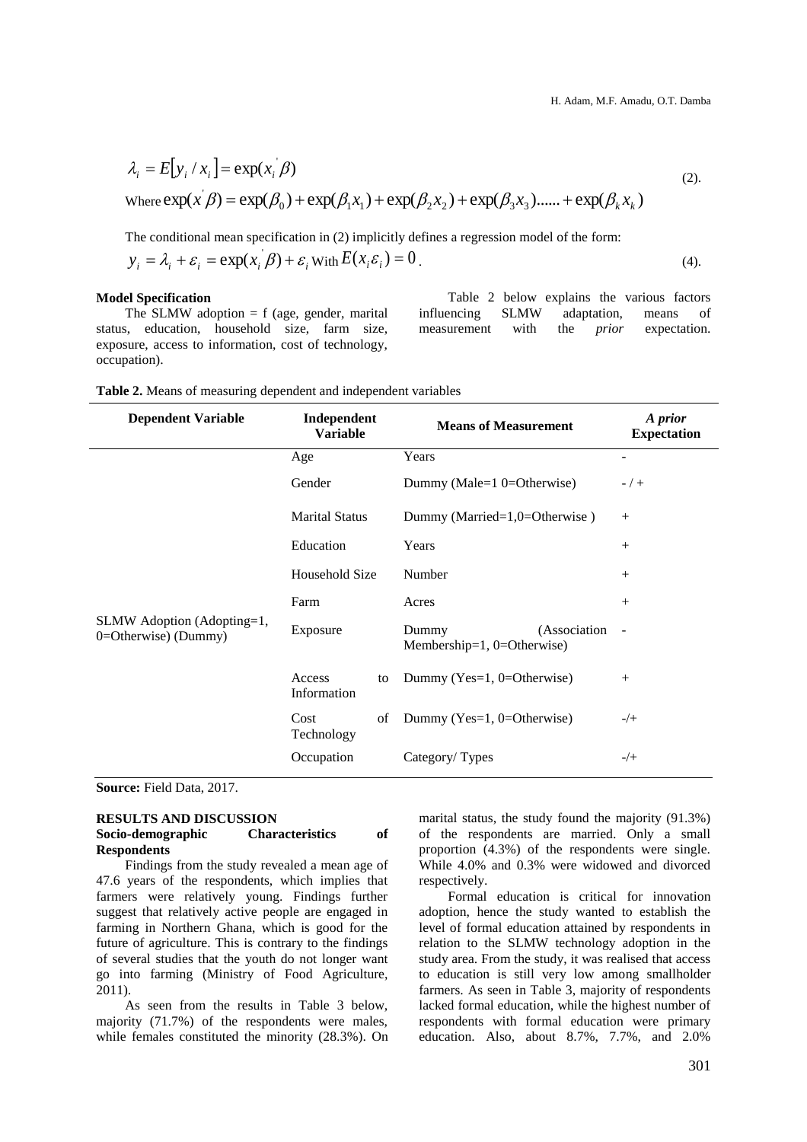$$
\lambda_i = E[y_i / x_i] = \exp(x_i \beta)
$$
  
\nWhere  $\exp(x \beta) = \exp(\beta_0) + \exp(\beta_1 x_1) + \exp(\beta_2 x_2) + \exp(\beta_3 x_3) + \exp(\beta_k x_k)$  (2).

The conditional mean specification in (2) implicitly defines a regression model of the form:

$$
y_i = \lambda_i + \varepsilon_i = \exp(x_i \beta) + \varepsilon_i \text{ with } E(x_i \varepsilon_i) = 0.
$$
\n<sup>(4)</sup>

## **Model Specification**

The SLMW adoption  $= f$  (age, gender, marital status, education, household size, farm size, exposure, access to information, cost of technology, occupation).

Table 2 below explains the various factors influencing SLMW adaptation, means of measurement with the *prior* expectation.

| <b>Dependent Variable</b>                           | Independent<br><b>Means of Measurement</b><br><b>Variable</b> |    | A prior<br><b>Expectation</b>                          |                          |
|-----------------------------------------------------|---------------------------------------------------------------|----|--------------------------------------------------------|--------------------------|
|                                                     | Age                                                           |    | Years                                                  |                          |
|                                                     | Gender                                                        |    | Dummy (Male=1 0=Otherwise)                             | $- / +$                  |
| SLMW Adoption (Adopting=1,<br>$0=Otherwise$ (Dummy) | <b>Marital Status</b>                                         |    | Dummy (Married=1,0=Otherwise)                          | $^{+}$                   |
|                                                     | Education                                                     |    | Years                                                  | $^{+}$                   |
|                                                     | Household Size                                                |    | Number                                                 | $^{+}$                   |
|                                                     | Farm                                                          |    | Acres                                                  | $^{+}$                   |
|                                                     | Exposure                                                      |    | (Association<br>Dummy<br>Membership=1, $0=O$ therwise) | $\overline{\phantom{a}}$ |
|                                                     | Access<br>Information                                         | to | Dummy (Yes=1, 0=Otherwise)                             | $^{+}$                   |
|                                                     | Cost<br>Technology                                            | of | Dummy (Yes=1, $0=$ Otherwise)                          | $-/+$                    |
|                                                     | Occupation                                                    |    | Category/Types                                         | $-/+$                    |

**Source:** Field Data, 2017.

# **RESULTS AND DISCUSSION Socio-demographic Characteristics of Respondents**

Findings from the study revealed a mean age of 47.6 years of the respondents, which implies that farmers were relatively young. Findings further suggest that relatively active people are engaged in farming in Northern Ghana, which is good for the future of agriculture. This is contrary to the findings of several studies that the youth do not longer want go into farming (Ministry of Food Agriculture, 2011).

As seen from the results in Table 3 below, majority (71.7%) of the respondents were males, while females constituted the minority (28.3%). On marital status, the study found the majority (91.3%) of the respondents are married. Only a small proportion (4.3%) of the respondents were single. While 4.0% and 0.3% were widowed and divorced respectively.

Formal education is critical for innovation adoption, hence the study wanted to establish the level of formal education attained by respondents in relation to the SLMW technology adoption in the study area. From the study, it was realised that access to education is still very low among smallholder farmers. As seen in Table 3, majority of respondents lacked formal education, while the highest number of respondents with formal education were primary education. Also, about 8.7%, 7.7%, and 2.0%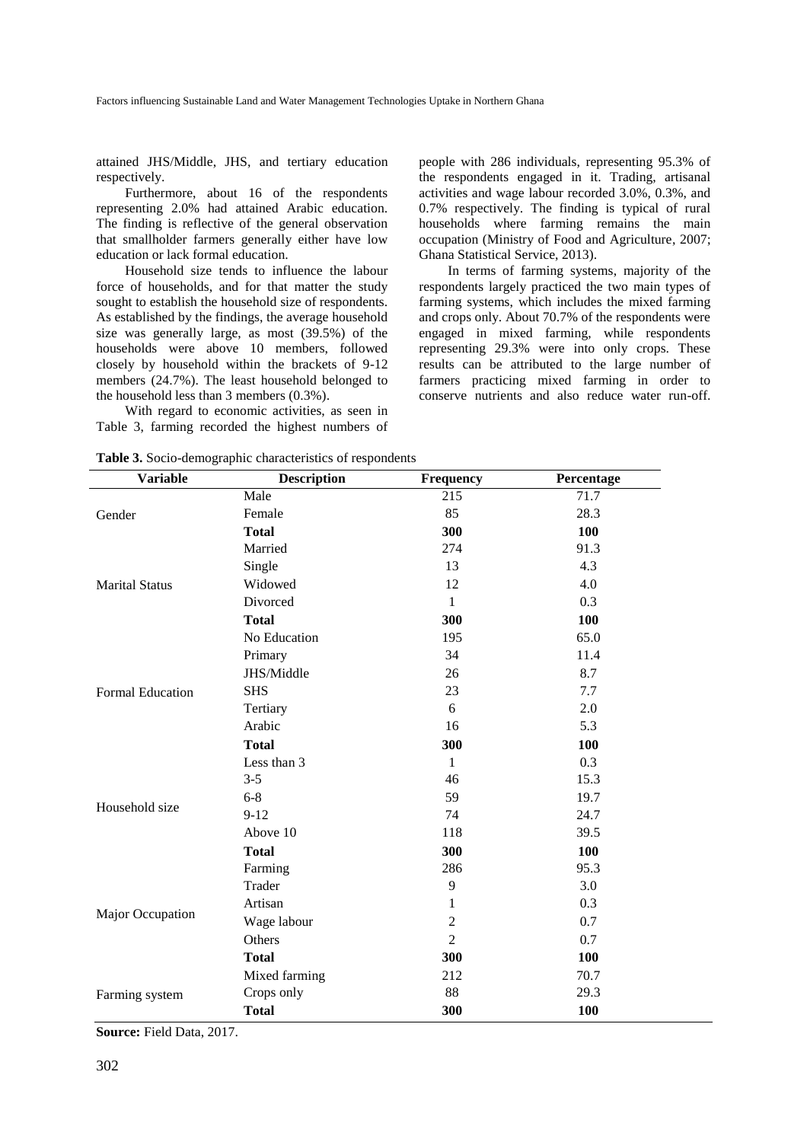attained JHS/Middle, JHS, and tertiary education respectively.

Furthermore, about 16 of the respondents representing 2.0% had attained Arabic education. The finding is reflective of the general observation that smallholder farmers generally either have low education or lack formal education.

Household size tends to influence the labour force of households, and for that matter the study sought to establish the household size of respondents. As established by the findings, the average household size was generally large, as most (39.5%) of the households were above 10 members, followed closely by household within the brackets of 9-12 members (24.7%). The least household belonged to the household less than 3 members (0.3%).

With regard to economic activities, as seen in Table 3, farming recorded the highest numbers of

people with 286 individuals, representing 95.3% of the respondents engaged in it. Trading, artisanal activities and wage labour recorded 3.0%, 0.3%, and 0.7% respectively. The finding is typical of rural households where farming remains the main occupation (Ministry of Food and Agriculture, 2007; Ghana Statistical Service, 2013).

In terms of farming systems, majority of the respondents largely practiced the two main types of farming systems, which includes the mixed farming and crops only. About 70.7% of the respondents were engaged in mixed farming, while respondents representing 29.3% were into only crops. These results can be attributed to the large number of farmers practicing mixed farming in order to conserve nutrients and also reduce water run-off.

| <b>Variable</b>       | <b>Description</b> | <b>Frequency</b>                                                                                                                                                        | Percentage |
|-----------------------|--------------------|-------------------------------------------------------------------------------------------------------------------------------------------------------------------------|------------|
|                       | Male               | 215                                                                                                                                                                     | 71.7       |
| Gender                | Female             | 85                                                                                                                                                                      | 28.3       |
|                       | <b>Total</b>       | 300                                                                                                                                                                     | 100        |
| <b>Marital Status</b> | Married            | 274                                                                                                                                                                     | 91.3       |
|                       | Single             | 13                                                                                                                                                                      | 4.3        |
|                       | Widowed            | 12                                                                                                                                                                      | 4.0        |
|                       | Divorced           | $\mathbf{1}$                                                                                                                                                            | 0.3        |
|                       | <b>Total</b>       | 300                                                                                                                                                                     | 100        |
| Formal Education      | No Education       | 195                                                                                                                                                                     | 65.0       |
|                       | Primary            | 34                                                                                                                                                                      | 11.4       |
|                       | JHS/Middle         | 26                                                                                                                                                                      | 8.7        |
|                       | <b>SHS</b>         | 23                                                                                                                                                                      | 7.7        |
|                       | Tertiary           | 6                                                                                                                                                                       | 2.0        |
|                       | Arabic             | 16                                                                                                                                                                      | 5.3        |
|                       | <b>Total</b>       | 300                                                                                                                                                                     | 100        |
| Household size        | Less than 3        | $\mathbf{1}$                                                                                                                                                            | 0.3        |
|                       | $3 - 5$            | 46                                                                                                                                                                      | 15.3       |
|                       | $6 - 8$            | 59                                                                                                                                                                      | 19.7       |
|                       | $9-12$             | 74                                                                                                                                                                      | 24.7       |
|                       | Above 10           | 118                                                                                                                                                                     | 39.5       |
|                       | <b>Total</b>       | 300<br>100<br>286<br>95.3<br>9<br>3.0<br>0.3<br>$\mathbf{1}$<br>$\overline{2}$<br>0.7<br>$\overline{c}$<br>0.7<br>300<br>100<br>212<br>70.7<br>88<br>29.3<br>300<br>100 |            |
|                       | Farming            |                                                                                                                                                                         |            |
|                       | Trader             |                                                                                                                                                                         |            |
|                       | Artisan            |                                                                                                                                                                         |            |
| Major Occupation      | Wage labour        |                                                                                                                                                                         |            |
|                       | Others             |                                                                                                                                                                         |            |
|                       | <b>Total</b>       |                                                                                                                                                                         |            |
|                       | Mixed farming      |                                                                                                                                                                         |            |
| Farming system        | Crops only         |                                                                                                                                                                         |            |
|                       | <b>Total</b>       |                                                                                                                                                                         |            |

**Table 3.** Socio-demographic characteristics of respondents

**Source:** Field Data, 2017.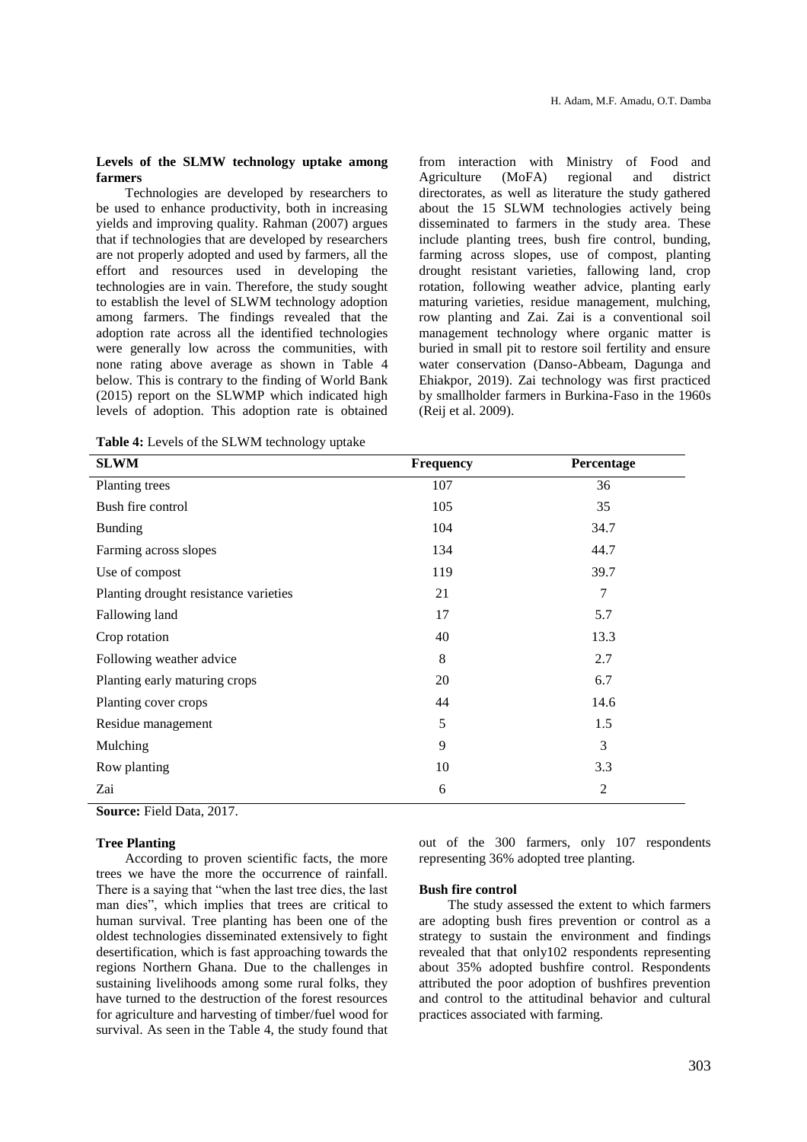#### **Levels of the SLMW technology uptake among farmers**

Technologies are developed by researchers to be used to enhance productivity, both in increasing yields and improving quality. Rahman (2007) argues that if technologies that are developed by researchers are not properly adopted and used by farmers, all the effort and resources used in developing the technologies are in vain. Therefore, the study sought to establish the level of SLWM technology adoption among farmers. The findings revealed that the adoption rate across all the identified technologies were generally low across the communities, with none rating above average as shown in Table 4 below. This is contrary to the finding of World Bank (2015) report on the SLWMP which indicated high levels of adoption. This adoption rate is obtained

**Table 4:** Levels of the SLWM technology uptake

from interaction with Ministry of Food and Agriculture (MoFA) regional and district directorates, as well as literature the study gathered about the 15 SLWM technologies actively being disseminated to farmers in the study area. These include planting trees, bush fire control, bunding, farming across slopes, use of compost, planting drought resistant varieties, fallowing land, crop rotation, following weather advice, planting early maturing varieties, residue management, mulching, row planting and Zai. Zai is a conventional soil management technology where organic matter is buried in small pit to restore soil fertility and ensure water conservation (Danso-Abbeam, Dagunga and Ehiakpor, 2019). Zai technology was first practiced by smallholder farmers in Burkina-Faso in the 1960s (Reij et al. 2009).

| <b>SLWM</b>                           | Frequency | Percentage     |
|---------------------------------------|-----------|----------------|
| Planting trees                        | 107       | 36             |
| Bush fire control                     | 105       | 35             |
| <b>Bunding</b>                        | 104       | 34.7           |
| Farming across slopes                 | 134       | 44.7           |
| Use of compost                        | 119       | 39.7           |
| Planting drought resistance varieties | 21        | 7              |
| Fallowing land                        | 17        | 5.7            |
| Crop rotation                         | 40        | 13.3           |
| Following weather advice              | 8         | 2.7            |
| Planting early maturing crops         | 20        | 6.7            |
| Planting cover crops                  | 44        | 14.6           |
| Residue management                    | 5         | 1.5            |
| Mulching                              | 9         | 3              |
| Row planting                          | 10        | 3.3            |
| Zai                                   | 6         | $\overline{2}$ |

**Source:** Field Data, 2017.

# **Tree Planting**

According to proven scientific facts, the more trees we have the more the occurrence of rainfall. There is a saying that "when the last tree dies, the last man dies", which implies that trees are critical to human survival. Tree planting has been one of the oldest technologies disseminated extensively to fight desertification, which is fast approaching towards the regions Northern Ghana. Due to the challenges in sustaining livelihoods among some rural folks, they have turned to the destruction of the forest resources for agriculture and harvesting of timber/fuel wood for survival. As seen in the Table 4, the study found that

out of the 300 farmers, only 107 respondents representing 36% adopted tree planting.

#### **Bush fire control**

The study assessed the extent to which farmers are adopting bush fires prevention or control as a strategy to sustain the environment and findings revealed that that only102 respondents representing about 35% adopted bushfire control. Respondents attributed the poor adoption of bushfires prevention and control to the attitudinal behavior and cultural practices associated with farming.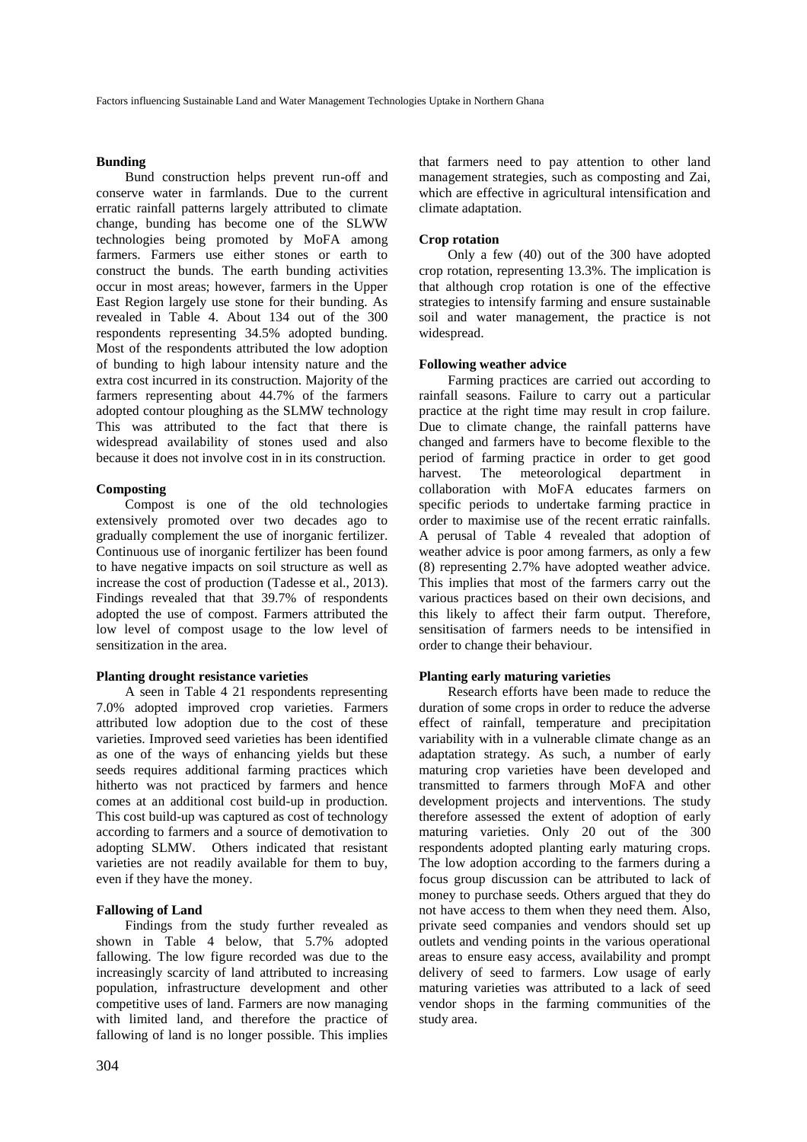#### **Bunding**

Bund construction helps prevent run-off and conserve water in farmlands. Due to the current erratic rainfall patterns largely attributed to climate change, bunding has become one of the SLWW technologies being promoted by MoFA among farmers. Farmers use either stones or earth to construct the bunds. The earth bunding activities occur in most areas; however, farmers in the Upper East Region largely use stone for their bunding. As revealed in Table 4. About 134 out of the 300 respondents representing 34.5% adopted bunding. Most of the respondents attributed the low adoption of bunding to high labour intensity nature and the extra cost incurred in its construction. Majority of the farmers representing about 44.7% of the farmers adopted contour ploughing as the SLMW technology This was attributed to the fact that there is widespread availability of stones used and also because it does not involve cost in in its construction.

#### **Composting**

Compost is one of the old technologies extensively promoted over two decades ago to gradually complement the use of inorganic fertilizer. Continuous use of inorganic fertilizer has been found to have negative impacts on soil structure as well as increase the cost of production (Tadesse et al., 2013). Findings revealed that that 39.7% of respondents adopted the use of compost. Farmers attributed the low level of compost usage to the low level of sensitization in the area.

# **Planting drought resistance varieties**

A seen in Table 4 21 respondents representing 7.0% adopted improved crop varieties. Farmers attributed low adoption due to the cost of these varieties. Improved seed varieties has been identified as one of the ways of enhancing yields but these seeds requires additional farming practices which hitherto was not practiced by farmers and hence comes at an additional cost build-up in production. This cost build-up was captured as cost of technology according to farmers and a source of demotivation to adopting SLMW. Others indicated that resistant varieties are not readily available for them to buy, even if they have the money.

## **Fallowing of Land**

Findings from the study further revealed as shown in Table 4 below, that 5.7% adopted fallowing. The low figure recorded was due to the increasingly scarcity of land attributed to increasing population, infrastructure development and other competitive uses of land. Farmers are now managing with limited land, and therefore the practice of fallowing of land is no longer possible. This implies

that farmers need to pay attention to other land management strategies, such as composting and Zai, which are effective in agricultural intensification and climate adaptation.

#### **Crop rotation**

Only a few (40) out of the 300 have adopted crop rotation, representing 13.3%. The implication is that although crop rotation is one of the effective strategies to intensify farming and ensure sustainable soil and water management, the practice is not widespread.

#### **Following weather advice**

Farming practices are carried out according to rainfall seasons. Failure to carry out a particular practice at the right time may result in crop failure. Due to climate change, the rainfall patterns have changed and farmers have to become flexible to the period of farming practice in order to get good The meteorological department in collaboration with MoFA educates farmers on specific periods to undertake farming practice in order to maximise use of the recent erratic rainfalls. A perusal of Table 4 revealed that adoption of weather advice is poor among farmers, as only a few (8) representing 2.7% have adopted weather advice. This implies that most of the farmers carry out the various practices based on their own decisions, and this likely to affect their farm output. Therefore, sensitisation of farmers needs to be intensified in order to change their behaviour.

# **Planting early maturing varieties**

Research efforts have been made to reduce the duration of some crops in order to reduce the adverse effect of rainfall, temperature and precipitation variability with in a vulnerable climate change as an adaptation strategy. As such, a number of early maturing crop varieties have been developed and transmitted to farmers through MoFA and other development projects and interventions. The study therefore assessed the extent of adoption of early maturing varieties. Only 20 out of the 300 respondents adopted planting early maturing crops. The low adoption according to the farmers during a focus group discussion can be attributed to lack of money to purchase seeds. Others argued that they do not have access to them when they need them. Also, private seed companies and vendors should set up outlets and vending points in the various operational areas to ensure easy access, availability and prompt delivery of seed to farmers. Low usage of early maturing varieties was attributed to a lack of seed vendor shops in the farming communities of the study area.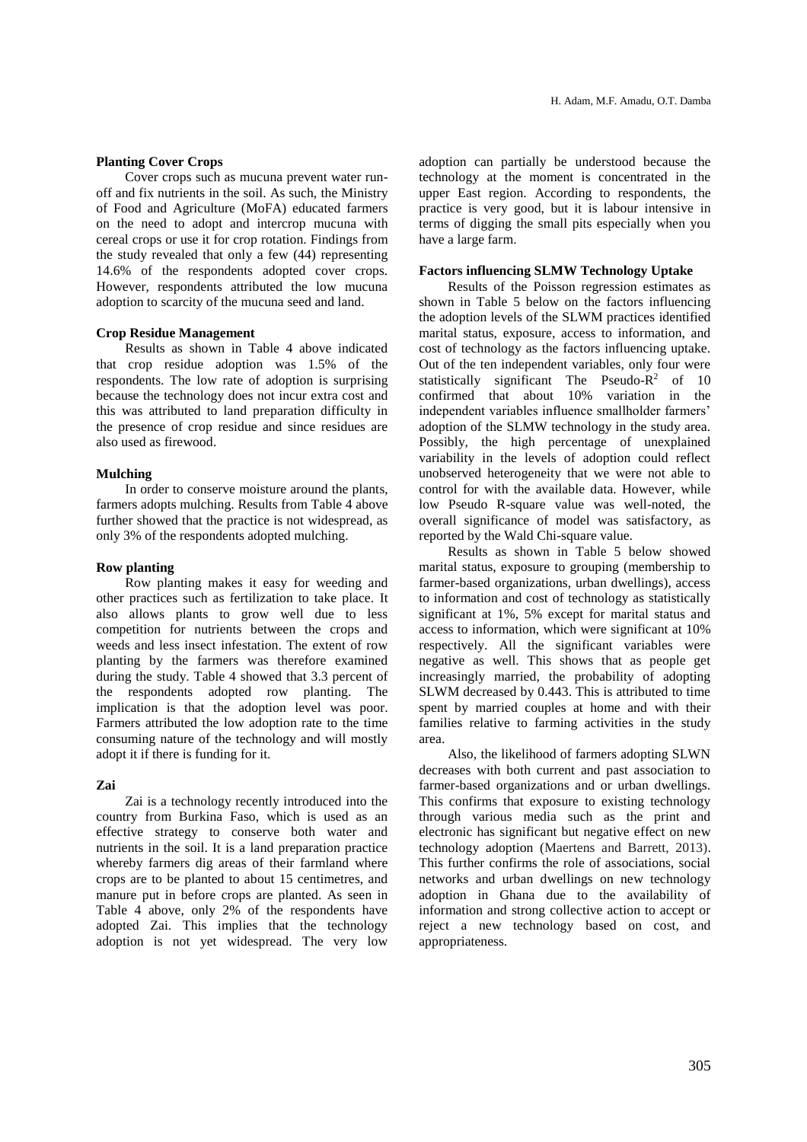## **Planting Cover Crops**

Cover crops such as mucuna prevent water runoff and fix nutrients in the soil. As such, the Ministry of Food and Agriculture (MoFA) educated farmers on the need to adopt and intercrop mucuna with cereal crops or use it for crop rotation. Findings from the study revealed that only a few (44) representing 14.6% of the respondents adopted cover crops. However, respondents attributed the low mucuna adoption to scarcity of the mucuna seed and land.

### **Crop Residue Management**

Results as shown in Table 4 above indicated that crop residue adoption was 1.5% of the respondents. The low rate of adoption is surprising because the technology does not incur extra cost and this was attributed to land preparation difficulty in the presence of crop residue and since residues are also used as firewood.

## **Mulching**

In order to conserve moisture around the plants, farmers adopts mulching. Results from Table 4 above further showed that the practice is not widespread, as only 3% of the respondents adopted mulching.

#### **Row planting**

Row planting makes it easy for weeding and other practices such as fertilization to take place. It also allows plants to grow well due to less competition for nutrients between the crops and weeds and less insect infestation. The extent of row planting by the farmers was therefore examined during the study. Table 4 showed that 3.3 percent of the respondents adopted row planting. The implication is that the adoption level was poor. Farmers attributed the low adoption rate to the time consuming nature of the technology and will mostly adopt it if there is funding for it.

# **Zai**

Zai is a technology recently introduced into the country from Burkina Faso, which is used as an effective strategy to conserve both water and nutrients in the soil. It is a land preparation practice whereby farmers dig areas of their farmland where crops are to be planted to about 15 centimetres, and manure put in before crops are planted. As seen in Table 4 above, only 2% of the respondents have adopted Zai. This implies that the technology adoption is not yet widespread. The very low adoption can partially be understood because the technology at the moment is concentrated in the upper East region. According to respondents, the practice is very good, but it is labour intensive in terms of digging the small pits especially when you have a large farm.

#### **Factors influencing SLMW Technology Uptake**

Results of the Poisson regression estimates as shown in Table 5 below on the factors influencing the adoption levels of the SLWM practices identified marital status, exposure, access to information, and cost of technology as the factors influencing uptake. Out of the ten independent variables, only four were statistically significant The Pseudo- $R^2$  of 10 confirmed that about 10% variation in the independent variables influence smallholder farmers' adoption of the SLMW technology in the study area. Possibly, the high percentage of unexplained variability in the levels of adoption could reflect unobserved heterogeneity that we were not able to control for with the available data. However, while low Pseudo R-square value was well-noted, the overall significance of model was satisfactory, as reported by the Wald Chi-square value.

Results as shown in Table 5 below showed marital status, exposure to grouping (membership to farmer-based organizations, urban dwellings), access to information and cost of technology as statistically significant at 1%, 5% except for marital status and access to information, which were significant at 10% respectively. All the significant variables were negative as well. This shows that as people get increasingly married, the probability of adopting SLWM decreased by 0.443. This is attributed to time spent by married couples at home and with their families relative to farming activities in the study area.

Also, the likelihood of farmers adopting SLWN decreases with both current and past association to farmer-based organizations and or urban dwellings. This confirms that exposure to existing technology through various media such as the print and electronic has significant but negative effect on new technology adoption (Maertens and Barrett, 2013). This further confirms the role of associations, social networks and urban dwellings on new technology adoption in Ghana due to the availability of information and strong collective action to accept or reject a new technology based on cost, and appropriateness.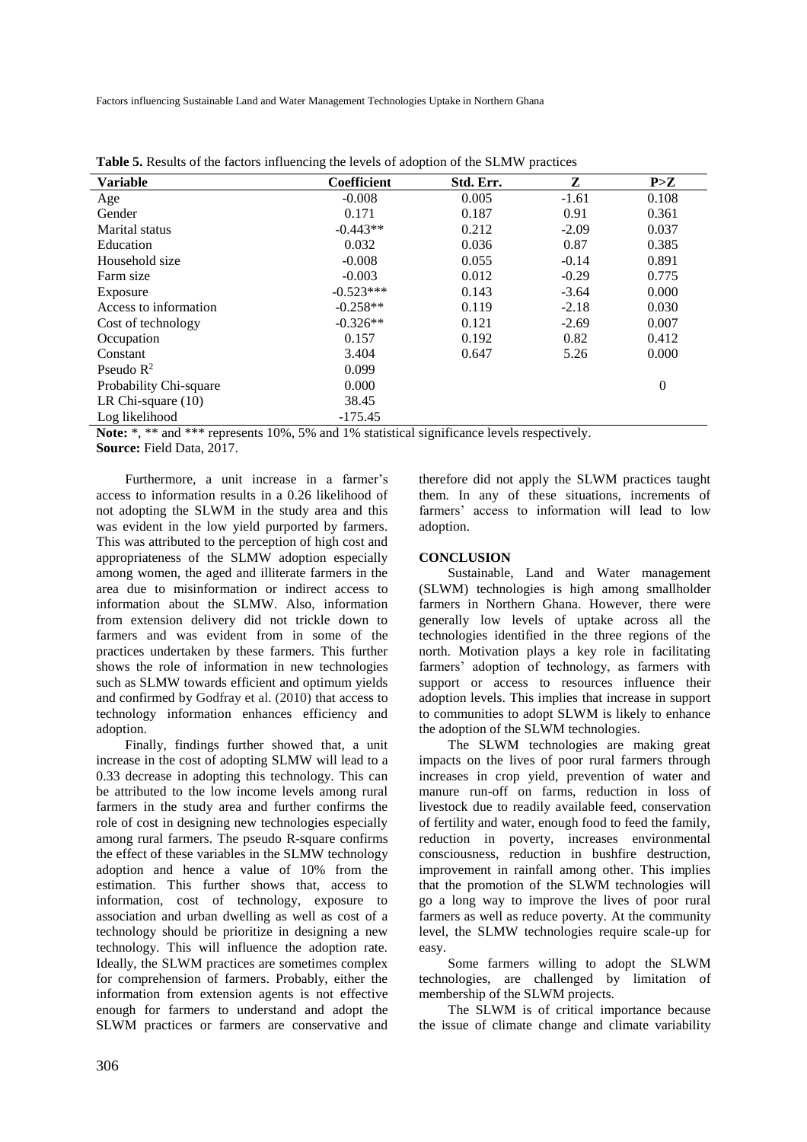Factors influencing Sustainable Land and Water Management Technologies Uptake in Northern Ghana

| <b>Variable</b>        | <b>Coefficient</b> | Std. Err. | Z       | P>Z            |
|------------------------|--------------------|-----------|---------|----------------|
| Age                    | $-0.008$           | 0.005     | $-1.61$ | 0.108          |
| Gender                 | 0.171              | 0.187     | 0.91    | 0.361          |
| Marital status         | $-0.443**$         | 0.212     | $-2.09$ | 0.037          |
| Education              | 0.032              | 0.036     | 0.87    | 0.385          |
| Household size         | $-0.008$           | 0.055     | $-0.14$ | 0.891          |
| Farm size              | $-0.003$           | 0.012     | $-0.29$ | 0.775          |
| Exposure               | $-0.523***$        | 0.143     | $-3.64$ | 0.000          |
| Access to information  | $-0.258**$         | 0.119     | $-2.18$ | 0.030          |
| Cost of technology     | $-0.326**$         | 0.121     | $-2.69$ | 0.007          |
| Occupation             | 0.157              | 0.192     | 0.82    | 0.412          |
| Constant               | 3.404              | 0.647     | 5.26    | 0.000          |
| Pseudo $R^2$           | 0.099              |           |         |                |
| Probability Chi-square | 0.000              |           |         | $\overline{0}$ |
| LR Chi-square $(10)$   | 38.45              |           |         |                |
| Log likelihood         | $-175.45$          |           |         |                |

**Table 5.** Results of the factors influencing the levels of adoption of the SLMW practices

Note: \*, \*\* and \*\*\* represents 10%, 5% and 1% statistical significance levels respectively. **Source:** Field Data, 2017.

Furthermore, a unit increase in a farmer's access to information results in a 0.26 likelihood of not adopting the SLWM in the study area and this was evident in the low yield purported by farmers. This was attributed to the perception of high cost and appropriateness of the SLMW adoption especially among women, the aged and illiterate farmers in the area due to misinformation or indirect access to information about the SLMW. Also, information from extension delivery did not trickle down to farmers and was evident from in some of the practices undertaken by these farmers. This further shows the role of information in new technologies such as SLMW towards efficient and optimum yields and confirmed by Godfray et al. (2010) that access to technology information enhances efficiency and adoption.

Finally, findings further showed that, a unit increase in the cost of adopting SLMW will lead to a 0.33 decrease in adopting this technology. This can be attributed to the low income levels among rural farmers in the study area and further confirms the role of cost in designing new technologies especially among rural farmers. The pseudo R-square confirms the effect of these variables in the SLMW technology adoption and hence a value of 10% from the estimation. This further shows that, access to information, cost of technology, exposure to association and urban dwelling as well as cost of a technology should be prioritize in designing a new technology. This will influence the adoption rate. Ideally, the SLWM practices are sometimes complex for comprehension of farmers. Probably, either the information from extension agents is not effective enough for farmers to understand and adopt the SLWM practices or farmers are conservative and

therefore did not apply the SLWM practices taught them. In any of these situations, increments of farmers' access to information will lead to low adoption.

## **CONCLUSION**

Sustainable, Land and Water management (SLWM) technologies is high among smallholder farmers in Northern Ghana. However, there were generally low levels of uptake across all the technologies identified in the three regions of the north. Motivation plays a key role in facilitating farmers' adoption of technology, as farmers with support or access to resources influence their adoption levels. This implies that increase in support to communities to adopt SLWM is likely to enhance the adoption of the SLWM technologies.

The SLWM technologies are making great impacts on the lives of poor rural farmers through increases in crop yield, prevention of water and manure run-off on farms, reduction in loss of livestock due to readily available feed, conservation of fertility and water, enough food to feed the family, reduction in poverty, increases environmental consciousness, reduction in bushfire destruction, improvement in rainfall among other. This implies that the promotion of the SLWM technologies will go a long way to improve the lives of poor rural farmers as well as reduce poverty. At the community level, the SLMW technologies require scale-up for easy.

Some farmers willing to adopt the SLWM technologies, are challenged by limitation of membership of the SLWM projects.

The SLWM is of critical importance because the issue of climate change and climate variability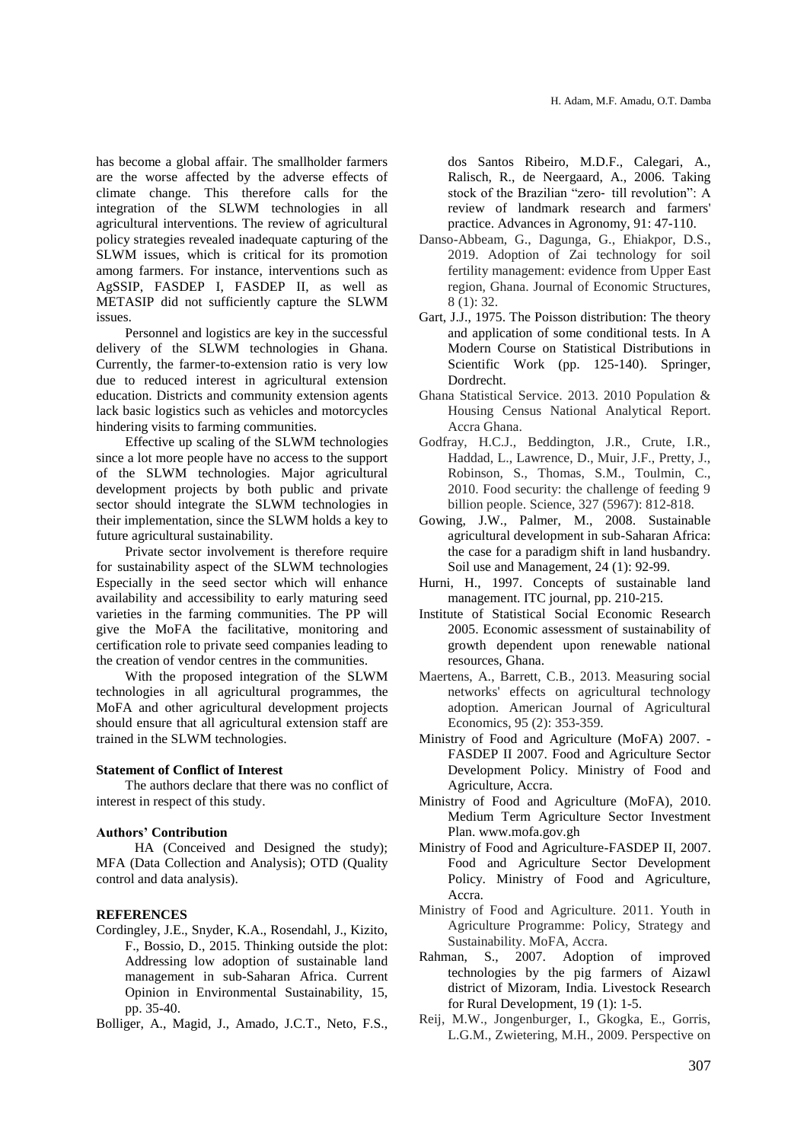has become a global affair. The smallholder farmers are the worse affected by the adverse effects of climate change. This therefore calls for the integration of the SLWM technologies in all agricultural interventions. The review of agricultural policy strategies revealed inadequate capturing of the SLWM issues, which is critical for its promotion among farmers. For instance, interventions such as AgSSIP, FASDEP I, FASDEP II, as well as METASIP did not sufficiently capture the SLWM issues.

Personnel and logistics are key in the successful delivery of the SLWM technologies in Ghana. Currently, the farmer-to-extension ratio is very low due to reduced interest in agricultural extension education. Districts and community extension agents lack basic logistics such as vehicles and motorcycles hindering visits to farming communities.

Effective up scaling of the SLWM technologies since a lot more people have no access to the support of the SLWM technologies. Major agricultural development projects by both public and private sector should integrate the SLWM technologies in their implementation, since the SLWM holds a key to future agricultural sustainability.

Private sector involvement is therefore require for sustainability aspect of the SLWM technologies Especially in the seed sector which will enhance availability and accessibility to early maturing seed varieties in the farming communities. The PP will give the MoFA the facilitative, monitoring and certification role to private seed companies leading to the creation of vendor centres in the communities.

With the proposed integration of the SLWM technologies in all agricultural programmes, the MoFA and other agricultural development projects should ensure that all agricultural extension staff are trained in the SLWM technologies.

#### **Statement of Conflict of Interest**

The authors declare that there was no conflict of interest in respect of this study.

## **Authors' Contribution**

HA (Conceived and Designed the study); MFA (Data Collection and Analysis); OTD (Quality control and data analysis).

# **REFERENCES**

Cordingley, J.E., Snyder, K.A., Rosendahl, J., Kizito, F., Bossio, D., 2015. Thinking outside the plot: Addressing low adoption of sustainable land management in sub-Saharan Africa. Current Opinion in Environmental Sustainability, 15, pp. 35-40.

Bolliger, A., Magid, J., Amado, J.C.T., Neto, F.S.,

dos Santos Ribeiro, M.D.F., Calegari, A., Ralisch, R., de Neergaard, A., 2006. Taking stock of the Brazilian "zero‐ till revolution": A review of landmark research and farmers' practice. Advances in Agronomy, 91: 47-110.

- Danso-Abbeam, G., Dagunga, G., Ehiakpor, D.S., 2019. Adoption of Zai technology for soil fertility management: evidence from Upper East region, Ghana. Journal of Economic Structures, 8 (1): 32.
- Gart, J.J., 1975. The Poisson distribution: The theory and application of some conditional tests. In A Modern Course on Statistical Distributions in Scientific Work (pp. 125-140). Springer, Dordrecht.
- Ghana Statistical Service. 2013. 2010 Population & Housing Census National Analytical Report. Accra Ghana.
- Godfray, H.C.J., Beddington, J.R., Crute, I.R., Haddad, L., Lawrence, D., Muir, J.F., Pretty, J., Robinson, S., Thomas, S.M., Toulmin, C., 2010. Food security: the challenge of feeding 9 billion people. Science, 327 (5967): 812-818.
- Gowing, J.W., Palmer, M., 2008. Sustainable agricultural development in sub-Saharan Africa: the case for a paradigm shift in land husbandry. Soil use and Management, 24 (1): 92-99.
- Hurni, H., 1997. Concepts of sustainable land management. ITC journal, pp. 210-215.
- Institute of Statistical Social Economic Research 2005. Economic assessment of sustainability of growth dependent upon renewable national resources, Ghana.
- Maertens, A., Barrett, C.B., 2013. Measuring social networks' effects on agricultural technology adoption. American Journal of Agricultural Economics, 95 (2): 353-359.
- Ministry of Food and Agriculture (MoFA) 2007. FASDEP II 2007. Food and Agriculture Sector Development Policy. Ministry of Food and Agriculture, Accra.
- Ministry of Food and Agriculture (MoFA), 2010. Medium Term Agriculture Sector Investment Plan. [www.mofa.gov.gh](http://www.mofa.gov.gh/)
- Ministry of Food and Agriculture-FASDEP II, 2007. Food and Agriculture Sector Development Policy. Ministry of Food and Agriculture, Accra.
- Ministry of Food and Agriculture. 2011. Youth in Agriculture Programme: Policy, Strategy and Sustainability. MoFA, Accra.
- Rahman, S., 2007. Adoption of improved technologies by the pig farmers of Aizawl district of Mizoram, India. Livestock Research for Rural Development, 19 (1): 1-5.
- Reij, M.W., Jongenburger, I., Gkogka, E., Gorris, L.G.M., Zwietering, M.H., 2009. Perspective on